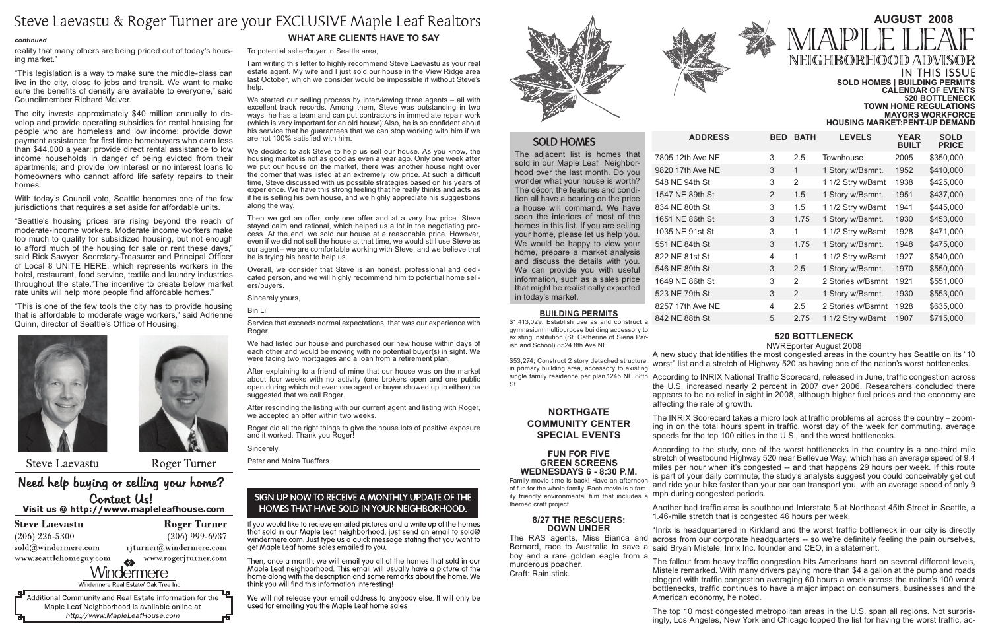| <b>ADDRESS</b> | BED            | <b>BATH</b> | <b>LEVELS</b>     | <b>YEAR</b><br><b>BUILT</b> | <b>SOLD</b><br><b>PRICE</b> |  |
|----------------|----------------|-------------|-------------------|-----------------------------|-----------------------------|--|
| า Ave NE       | 3              | 2.5         | Townhouse         | 2005                        | \$350,000                   |  |
| า Ave NE       | 3              | 1           | 1 Story w/Bsmnt.  | 1952                        | \$410,000                   |  |
| 4th St         | 3              | 2           | 1 1/2 Stry w/Bsmt | 1938                        | \$425,000                   |  |
| 89th St        | 2              | 1.5         | 1 Story w/Bsmnt.  | 1951                        | \$437,000                   |  |
| 0th St         | 3              | 1.5         | 1 1/2 Stry w/Bsmt | 1941                        | \$445,000                   |  |
| 86th St        | 3              | 1.75        | 1 Story w/Bsmnt.  | 1930                        | \$453,000                   |  |
| 91st St        | 3              | 1           | 1 1/2 Stry w/Bsmt | 1928                        | \$471,000                   |  |
| 4th St         | 3              | 1.75        | 1 Story w/Bsmnt.  | 1948                        | \$475,000                   |  |
| ็1st St        | $\overline{4}$ | 1           | 1 1/2 Stry w/Bsmt | 1927                        | \$540,000                   |  |
| 9th St         | 3              | 2.5         | 1 Story w/Bsmnt.  | 1970                        | \$550,000                   |  |
| 86th St        | 3              | 2           | 2 Stories w/Bsmnt | 1921                        | \$551,000                   |  |
| '9th St        | 3              | 2           | 1 Story w/Bsmnt.  | 1930                        | \$553,000                   |  |
| า Ave NE       | 4              | 2.5         | 2 Stories w/Bsmnt | 1928                        | \$635,000                   |  |
| 8th St         | 5              | 2.75        | 1 1/2 Stry w/Bsmt | 1907                        | \$715,000                   |  |

I am writing this letter to highly recommend Steve Laevastu as your real estate agent. My wife and I just sold our house in the View Ridge area last October, which we consider would be impossible if without Steve's help.

We started our selling process by interviewing three agents – all with excellent track records. Among them, Steve was outstanding in two ways: he has a team and can put contractors in immediate repair work (which is very important for an old house);Also, he is so confident about his service that he guarantees that we can stop working with him if we are not 100% satisfied with him.

> The adjacent list is homes that sold in our Maple Leaf Neighborhood over the last month. Do you wonder what your house is worth? The décor, the features and condition all have a bearing on the price a house will command. We have seen the interiors of most of the homes in this list. If you are selling your home, please let us help you. We would be happy to view your home, prepare a market analysis and discuss the details with you. We can provide you with useful information, such as a sales price that might be realistically expected in today's market.

7805 12th Ave NE 9820 17th Ave NE 548 NE 94th St 1547 NE 89th St 834 NE 80th St 1651 NE 86th St 1035 NE 91st St 551 NE 84th St 822 NE 81st St 546 NE 89th St 1649 NE 86th St 523 NE 79th St 8257 17th Ave NE 842 NE 88th St

## **What Are Clients Have to Say**

To potential seller/buyer in Seattle area,

Roger did all the right things to give the house lots of positive exposure and it worked. Thank you Roger

We decided to ask Steve to help us sell our house. As you know, the housing market is not as good as even a year ago. Only one week after we put our house on the market, there was another house right over the corner that was listed at an extremely low price. At such a difficult time, Steve discussed with us possible strategies based on his years of experience. We have this strong feeling that he really thinks and acts as if he is selling his own house, and we highly appreciate his suggestions along the way.

> \$53,274; Construct 2 story detached structure, worst" list and a stretch of Highway 520 as having one of the nation's worst bottlenecks. A new study that identifies the most congested areas in the country has Seattle on its "10

# **AUGUST 2008** NEIGHBORHOOD ADV **IN THIS ISSUE Sold Homes | Building Permits**

Then we got an offer, only one offer and at a very low price. Steve stayed calm and rational, which helped us a lot in the negotiating process. At the end, we sold our house at a reasonable price. However, even if we did not sell the house at that time, we would still use Steve as our agent – we are comfortable working with Steve, and we believe that he is trying his best to help us.

Overall, we consider that Steve is an honest, professional and dedicated person, and we will highly recommend him to potential home sellers/buyers.

Sincerely yours,

Bin Li

Service that exceeds normal expectations, that was our experience with Roger.

We had listed our house and purchased our new house within days of each other and would be moving with no potential buyer(s) in sight. We were facing two mortgages and a loan from a retirement plan.

After explaining to a friend of mine that our house was on the market about four weeks with no activity (one brokers open and one public open during which not even one agent or buyer showed up to either) he suggested that we call Roger.

After rescinding the listing with our current agent and listing with Roger, we accepted an offer within two weeks.

Sincerely,

Peter and Moira Tueffers

## SIGN UP NOW TO RECEIVE A MONTHLY UPDATE OF THE HOMES THAT HAVE SOLD IN YOUR NEIGHBORHOOD.

If you would like to recieve emailed pictures and a write up of the homes that sold in our Maple Leaf neighborhood, just send an email to sold@ windermere.com. Just type us a quick message stating that you want to get Maple Leaf home sales emailed to you.

Then, once a month, we will email you all of the homes that sold in our Maple Leaf neighborhood. This email will usually have a picture of the home along with the description and some remarks about the home. We think you will find this information interesting!

We will not release your email address to anybody else. It will only be used for emailing you the Maple Leaf home sales





## **SOLD HOMES**

## **BUILDING PERMITS**

\$1,413,029; Establish use as and construct a gymnasium multipurpose building accessory to existing institution (St. Catherine of Siena Parish and School).8524 8th Ave NE

in primary building area, accessory to existing St

## **Northgate Community Center Special Events**

## **Fun for Five Green Screens Wednesdays 6 - 8:30 p.m.**

Family movie time is back! Have an afternoon of fun for the whole family. Each movie is a famif the two controlled tends of the controller as mph during congested periods. themed craft project.

## **8/27 THE RESCUERS: DOWN UNDER**

boy and a rare golden eagle from a murderous poacher. Craft: Rain stick.

#### **Calendar of Events 520 Bottleneck Town home regulations mayors Workforce**

**Housing Market:pent-up demand**

single family residence per plan.1245 NE 88th According to INRIX National Traffic Scorecard, released in June, traffic congestion across the U.S. increased nearly 2 percent in 2007 over 2006. Researchers concluded there appears to be no relief in sight in 2008, although higher fuel prices and the economy are affecting the rate of growth. The INRIX Scorecard takes a micro look at traffic problems all across the country – zoom-

## **520 Bottleneck**

NWREporter August 2008

The RAS agents, Miss Bianca and across from our corporate headquarters -- so we're definitely feeling the pain ourselves, Bernard, race to Australia to save a said Bryan Mistele, Inrix Inc. founder and CEO, in a statement. "Inrix is headquartered in Kirkland and the worst traffic bottleneck in our city is directly

ing in on the total hours spent in traffic, worst day of the week for commuting, average speeds for the top 100 cities in the U.S., and the worst bottlenecks.

According to the study, one of the worst bottlenecks in the country is a one-third mile stretch of westbound Highway 520 near Bellevue Way, which has an average speed of 9.4 miles per hour when it's congested -- and that happens 29 hours per week. If this route is part of your daily commute, the study's analysts suggest you could conceivably get out and ride your bike faster than your car can transport you, with an average speed of only 9

Another bad traffic area is southbound Interstate 5 at Northeast 45th Street in Seattle, a 1.46-mile stretch that is congested 46 hours per week.

The fallout from heavy traffic congestion hits Americans hard on several different levels, Mistele remarked. With many drivers paying more than \$4 a gallon at the pump and roads clogged with traffic congestion averaging 60 hours a week across the nation's 100 worst bottlenecks, traffic continues to have a major impact on consumers, businesses and the American economy, he noted.

The top 10 most congested metropolitan areas in the U.S. span all regions. Not surprisingly, Los Angeles, New York and Chicago topped the list for having the worst traffic, ac-



reality that many others are being priced out of today's housing market."

"This legislation is a way to make sure the middle-class can live in the city, close to jobs and transit. We want to make sure the benefits of density are available to everyone," said Councilmember Richard McIver.

The city invests approximately \$40 million annually to develop and provide operating subsidies for rental housing for people who are homeless and low income; provide down payment assistance for first time homebuyers who earn less than \$44,000 a year; provide direct rental assistance to low income households in danger of being evicted from their apartments; and provide low interest or no interest loans to homeowners who cannot afford life safety repairs to their homes.

With today's Council vote, Seattle becomes one of the few jurisdictions that requires a set aside for affordable units.

"Seattle's housing prices are rising beyond the reach of moderate-income workers. Moderate income workers make too much to quality for subsidized housing, but not enough to afford much of the housing for sale or rent these days," said Rick Sawyer, Secretary-Treasurer and Principal Officer of Local 8 UNITE HERE, which represents workers in the hotel, restaurant, food service, textile and laundry industries throughout the state."The incentive to create below market rate units will help more people find affordable homes."

"This is one of the few tools the city has to provide housing that is affordable to moderate wage workers," said Adrienne Quinn, director of Seattle's Office of Housing.





**Steve Laevastu** 

Roger Turner

## Need help buying or selling your home? Contact Us! Visit us @ http://www.mapleleafhouse.com

**Steve Laevastu** 

 $(206)$  226-5300 sold@windermere.com

**Roger Turner**  $(206)$  999-6937 rjturner@windermere.com www.seattlehomeguy.com www.rogerjturner.com Windermere Windermere Real Estate/ Oak Tree Inc

Additional Community and Real Estate information for the Maple Leaf Neighborhood is available online at http://www.MapleLeafHouse.com

# Steve Laevastu & Roger Turner are your EXCLUSIVE Maple Leaf Realtors

#### *continued*